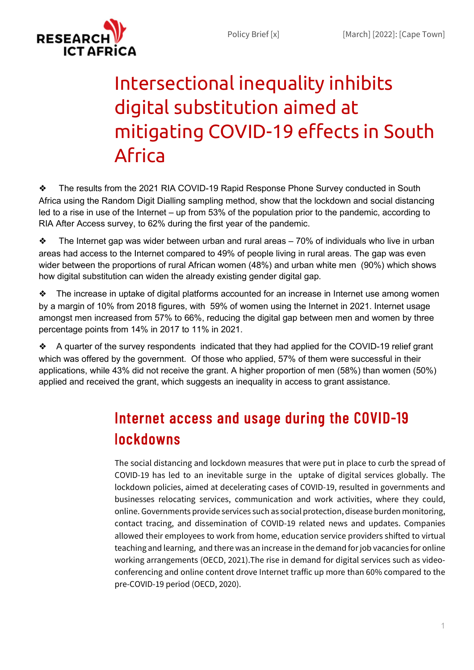

# Intersectional inequality inhibits digital substitution aimed at mitigating COVID-19 effects in South Africa

❖ The results from the 2021 RIA COVID-19 Rapid Response Phone Survey conducted in South Africa using the Random Digit Dialling sampling method, show that the lockdown and social distancing led to a rise in use of the Internet – up from 53% of the population prior to the pandemic, according to RIA After Access survey, to 62% during the first year of the pandemic.

 $\bullet$  The Internet gap was wider between urban and rural areas – 70% of individuals who live in urban areas had access to the Internet compared to 49% of people living in rural areas. The gap was even wider between the proportions of rural African women (48%) and urban white men (90%) which shows how digital substitution can widen the already existing gender digital gap.

❖ The increase in uptake of digital platforms accounted for an increase in Internet use among women by a margin of 10% from 2018 figures, with 59% of women using the Internet in 2021. Internet usage amongst men increased from 57% to 66%, reducing the digital gap between men and women by three percentage points from 14% in 2017 to 11% in 2021.

❖ A quarter of the survey respondents indicated that they had applied for the COVID-19 relief grant which was offered by the government. Of those who applied, 57% of them were successful in their applications, while 43% did not receive the grant. A higher proportion of men (58%) than women (50%) applied and received the grant, which suggests an inequality in access to grant assistance.

# Internet access and usage during the COVID-19 lockdowns

The social distancing and lockdown measures that were put in place to curb the spread of COVID-19 has led to an inevitable surge in the uptake of digital services globally. The lockdown policies, aimed at decelerating cases of COVID-19, resulted in governments and businesses relocating services, communication and work activities, where they could, online. Governments provide services such as social protection, disease burden monitoring, contact tracing, and dissemination of COVID-19 related news and updates. Companies allowed their employees to work from home, education service providers shifted to virtual teaching and learning, and there was an increase in the demand for job vacancies for online working arrangements (OECD, 2021).The rise in demand for digital services such as videoconferencing and online content drove Internet traffic up more than 60% compared to the pre-COVID-19 period (OECD, 2020).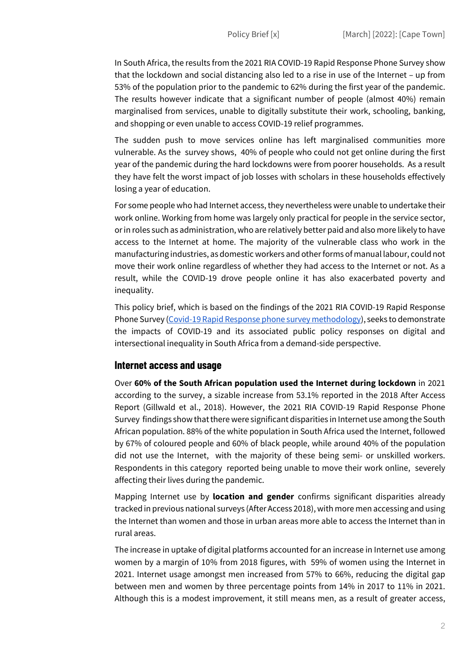In South Africa, the results from the 2021 RIA COVID-19 Rapid Response Phone Survey show that the lockdown and social distancing also led to a rise in use of the Internet – up from 53% of the population prior to the pandemic to 62% during the first year of the pandemic. The results however indicate that a significant number of people (almost 40%) remain marginalised from services, unable to digitally substitute their work, schooling, banking, and shopping or even unable to access COVID-19 relief programmes.

The sudden push to move services online has left marginalised communities more vulnerable. As the survey shows, 40% of people who could not get online during the first year of the pandemic during the hard lockdowns were from poorer households. As a result they have felt the worst impact of job losses with scholars in these households effectively losing a year of education.

For some people who had Internet access, they nevertheless were unable to undertake their work online. Working from home was largely only practical for people in the service sector, or in roles such as administration, who are relatively better paid and also more likely to have access to the Internet at home. The majority of the vulnerable class who work in the manufacturing industries, as domestic workers and other forms of manual labour, could not move their work online regardless of whether they had access to the Internet or not. As a result, while the COVID-19 drove people online it has also exacerbated poverty and inequality.

This policy brief, which is based on the findings of the 2021 RIA COVID-19 Rapid Response Phone Survey (Covid-19 Rapid Response phone survey methodology), seeks to demonstrate the impacts of COVID-19 and its associated public policy responses on digital and intersectional inequality in South Africa from a demand-side perspective.

#### Internet access and usage

Over 60% of the South African population used the Internet during lockdown in 2021 according to the survey, a sizable increase from 53.1% reported in the 2018 After Access Report (Gillwald et al., 2018). However, the 2021 RIA COVID-19 Rapid Response Phone Survey findings show that there were significant disparities in Internet use among the South African population. 88% of the white population in South Africa used the Internet, followed by 67% of coloured people and 60% of black people, while around 40% of the population did not use the Internet, with the majority of these being semi- or unskilled workers. Respondents in this category reported being unable to move their work online, severely affecting their lives during the pandemic.

Mapping Internet use by location and gender confirms significant disparities already tracked in previous national surveys (After Access 2018), with more men accessing and using the Internet than women and those in urban areas more able to access the Internet than in rural areas.

The increase in uptake of digital platforms accounted for an increase in Internet use among women by a margin of 10% from 2018 figures, with 59% of women using the Internet in 2021. Internet usage amongst men increased from 57% to 66%, reducing the digital gap between men and women by three percentage points from 14% in 2017 to 11% in 2021. Although this is a modest improvement, it still means men, as a result of greater access,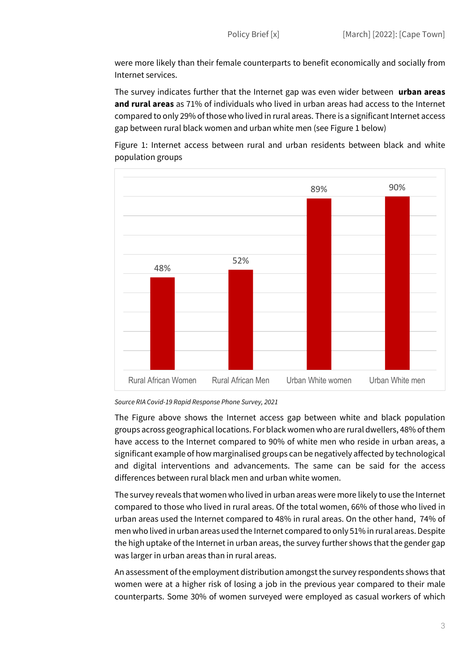were more likely than their female counterparts to benefit economically and socially from Internet services.

The survey indicates further that the Internet gap was even wider between urban areas and rural areas as 71% of individuals who lived in urban areas had access to the Internet compared to only 29% of those who lived in rural areas. There is a significant Internet access gap between rural black women and urban white men (see Figure 1 below)







The Figure above shows the Internet access gap between white and black population groups across geographical locations. For black women who are rural dwellers, 48% of them have access to the Internet compared to 90% of white men who reside in urban areas, a significant example of how marginalised groups can be negatively affected by technological and digital interventions and advancements. The same can be said for the access differences between rural black men and urban white women.

The survey reveals that women who lived in urban areas were more likely to use the Internet compared to those who lived in rural areas. Of the total women, 66% of those who lived in urban areas used the Internet compared to 48% in rural areas. On the other hand, 74% of men who lived in urban areas used the Internet compared to only 51% in rural areas. Despite the high uptake of the Internet in urban areas, the survey further shows that the gender gap was larger in urban areas than in rural areas.

An assessment of the employment distribution amongst the survey respondents shows that women were at a higher risk of losing a job in the previous year compared to their male counterparts. Some 30% of women surveyed were employed as casual workers of which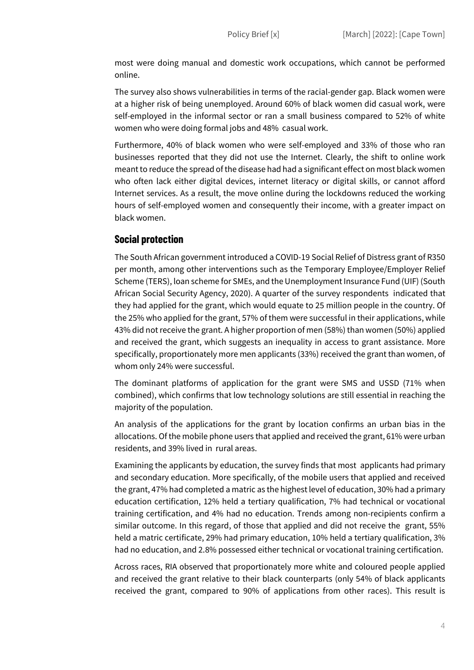most were doing manual and domestic work occupations, which cannot be performed online.

The survey also shows vulnerabilities in terms of the racial-gender gap. Black women were at a higher risk of being unemployed. Around 60% of black women did casual work, were self-employed in the informal sector or ran a small business compared to 52% of white women who were doing formal jobs and 48% casual work.

Furthermore, 40% of black women who were self-employed and 33% of those who ran businesses reported that they did not use the Internet. Clearly, the shift to online work meant to reduce the spread of the disease had had a significant effect on most black women who often lack either digital devices, internet literacy or digital skills, or cannot afford Internet services. As a result, the move online during the lockdowns reduced the working hours of self-employed women and consequently their income, with a greater impact on black women.

#### Social protection

The South African government introduced a COVID-19 Social Relief of Distress grant of R350 per month, among other interventions such as the Temporary Employee/Employer Relief Scheme (TERS), loan scheme for SMEs, and the Unemployment Insurance Fund (UIF) (South African Social Security Agency, 2020). A quarter of the survey respondents indicated that they had applied for the grant, which would equate to 25 million people in the country. Of the 25% who applied for the grant, 57% of them were successful in their applications, while 43% did not receive the grant. A higher proportion of men (58%) than women (50%) applied and received the grant, which suggests an inequality in access to grant assistance. More specifically, proportionately more men applicants (33%) received the grant than women, of whom only 24% were successful.

The dominant platforms of application for the grant were SMS and USSD (71% when combined), which confirms that low technology solutions are still essential in reaching the majority of the population.

An analysis of the applications for the grant by location confirms an urban bias in the allocations. Of the mobile phone users that applied and received the grant, 61% were urban residents, and 39% lived in rural areas.

Examining the applicants by education, the survey finds that most applicants had primary and secondary education. More specifically, of the mobile users that applied and received the grant, 47% had completed a matric as the highest level of education, 30% had a primary education certification, 12% held a tertiary qualification, 7% had technical or vocational training certification, and 4% had no education. Trends among non-recipients confirm a similar outcome. In this regard, of those that applied and did not receive the grant, 55% held a matric certificate, 29% had primary education, 10% held a tertiary qualification, 3% had no education, and 2.8% possessed either technical or vocational training certification.

Across races, RIA observed that proportionately more white and coloured people applied and received the grant relative to their black counterparts (only 54% of black applicants received the grant, compared to 90% of applications from other races). This result is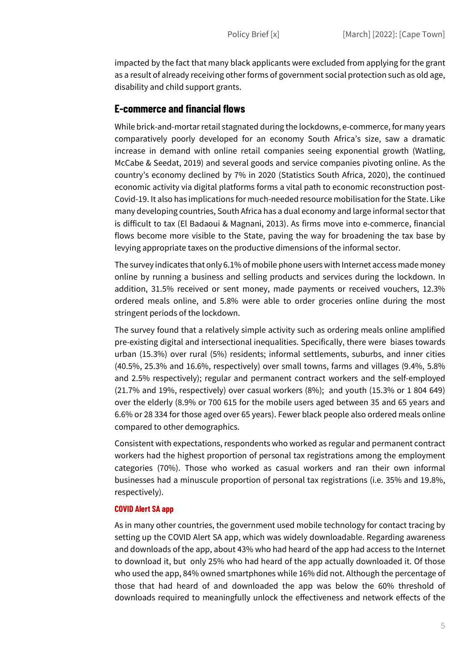impacted by the fact that many black applicants were excluded from applying for the grant as a result of already receiving other forms of government social protection such as old age, disability and child support grants.

#### E-commerce and financial flows

While brick-and-mortar retail stagnated during the lockdowns, e-commerce, for many years comparatively poorly developed for an economy South Africa's size, saw a dramatic increase in demand with online retail companies seeing exponential growth (Watling, McCabe & Seedat, 2019) and several goods and service companies pivoting online. As the country's economy declined by 7% in 2020 (Statistics South Africa, 2020), the continued economic activity via digital platforms forms a vital path to economic reconstruction post-Covid-19. It also has implications for much-needed resource mobilisation for the State. Like many developing countries, South Africa has a dual economy and large informal sector that is difficult to tax (El Badaoui & Magnani, 2013). As firms move into e-commerce, financial flows become more visible to the State, paving the way for broadening the tax base by levying appropriate taxes on the productive dimensions of the informal sector.

The survey indicates that only 6.1% of mobile phone users with Internet access made money online by running a business and selling products and services during the lockdown. In addition, 31.5% received or sent money, made payments or received vouchers, 12.3% ordered meals online, and 5.8% were able to order groceries online during the most stringent periods of the lockdown.

The survey found that a relatively simple activity such as ordering meals online amplified pre-existing digital and intersectional inequalities. Specifically, there were biases towards urban (15.3%) over rural (5%) residents; informal settlements, suburbs, and inner cities (40.5%, 25.3% and 16.6%, respectively) over small towns, farms and villages (9.4%, 5.8% and 2.5% respectively); regular and permanent contract workers and the self-employed  $(21.7\%$  and 19%, respectively) over casual workers  $(8\%)$ ; and youth  $(15.3\%$  or 1804 649) over the elderly (8.9% or 700 615 for the mobile users aged between 35 and 65 years and 6.6% or 28 334 for those aged over 65 years). Fewer black people also ordered meals online compared to other demographics.

Consistent with expectations, respondents who worked as regular and permanent contract workers had the highest proportion of personal tax registrations among the employment categories (70%). Those who worked as casual workers and ran their own informal businesses had a minuscule proportion of personal tax registrations (i.e. 35% and 19.8%, respectively).

#### COVID Alert SA app

As in many other countries, the government used mobile technology for contact tracing by setting up the COVID Alert SA app, which was widely downloadable. Regarding awareness and downloads of the app, about 43% who had heard of the app had access to the Internet to download it, but only 25% who had heard of the app actually downloaded it. Of those who used the app, 84% owned smartphones while 16% did not. Although the percentage of those that had heard of and downloaded the app was below the 60% threshold of downloads required to meaningfully unlock the effectiveness and network effects of the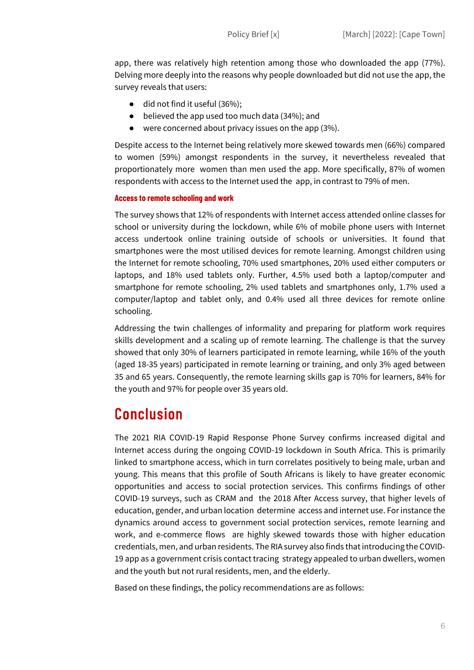app, there was relatively high retention among those who downloaded the app (77%). Delving more deeply into the reasons why people downloaded but did not use the app, the survey reveals that users:

- did not find it useful (36%):
- believed the app used too much data (34%); and
- were concerned about privacy issues on the app (3%).

Despite access to the Internet being relatively more skewed towards men (66%) compared to women (59%) amongst respondents in the survey, it nevertheless revealed that proportionately more women than men used the app. More specifically, 87% of women respondents with access to the Internet used the app, in contrast to 79% of men.

#### Access to remote schooling and work

The survey shows that 12% of respondents with Internet access attended online classes for school or university during the lockdown, while 6% of mobile phone users with Internet access undertook online training outside of schools or universities. It found that smartphones were the most utilised devices for remote learning. Amongst children using the Internet for remote schooling, 70% used smartphones, 20% used either computers or laptops, and 18% used tablets only. Further, 4.5% used both a laptop/computer and smartphone for remote schooling, 2% used tablets and smartphones only, 1.7% used a computer/laptop and tablet only, and 0.4% used all three devices for remote online schooling.

Addressing the twin challenges of informality and preparing for platform work requires skills development and a scaling up of remote learning. The challenge is that the survey showed that only 30% of learners participated in remote learning, while 16% of the youth (aged 18-35 years) participated in remote learning or training, and only 3% aged between 35 and 65 years. Consequently, the remote learning skills gap is 70% for learners, 84% for the youth and 97% for people over 35 years old.

## Conclusion

The 2021 RIA COVID-19 Rapid Response Phone Survey confirms increased digital and Internet access during the ongoing COVID-19 lockdown in South Africa. This is primarily linked to smartphone access, which in turn correlates positively to being male, urban and young. This means that this profile of South Africans is likely to have greater economic opportunities and access to social protection services. This confirms findings of other COVID-19 surveys, such as CRAM and the 2018 After Access survey, that higher levels of education, gender, and urban location determine access and internet use. For instance the dynamics around access to government social protection services, remote learning and work, and e-commerce flows are highly skewed towards those with higher education credentials, men, and urban residents. The RIA survey also finds that introducing the COVID-19 app as a government crisis contact tracing strategy appealed to urban dwellers, women and the youth but not rural residents, men, and the elderly.

Based on these findings, the policy recommendations are as follows: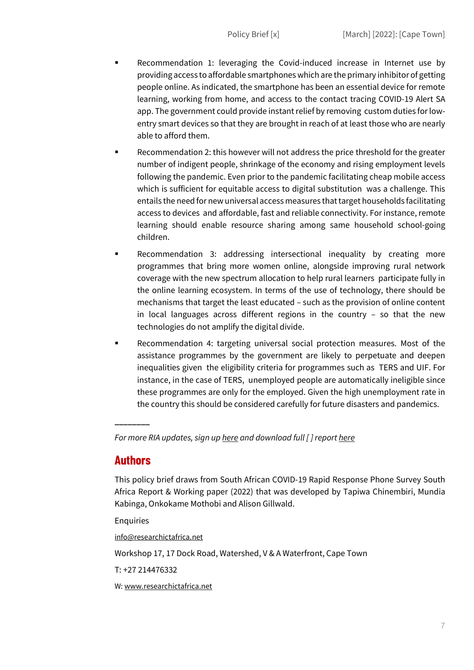- Recommendation 1: leveraging the Covid-induced increase in Internet use by providing access to affordable smartphones which are the primary inhibitor of getting people online. As indicated, the smartphone has been an essential device for remote learning, working from home, and access to the contact tracing COVID-19 Alert SA app. The government could provide instant relief by removing custom duties for lowentry smart devices so that they are brought in reach of at least those who are nearly able to afford them.
- Recommendation 2: this however will not address the price threshold for the greater number of indigent people, shrinkage of the economy and rising employment levels following the pandemic. Even prior to the pandemic facilitating cheap mobile access which is sufficient for equitable access to digital substitution was a challenge. This entails the need for new universal access measures that target households facilitating access to devices and affordable, fast and reliable connectivity. For instance, remote learning should enable resource sharing among same household school-going children.
- Recommendation 3: addressing intersectional inequality by creating more programmes that bring more women online, alongside improving rural network coverage with the new spectrum allocation to help rural learners participate fully in the online learning ecosystem. In terms of the use of technology, there should be mechanisms that target the least educated – such as the provision of online content in local languages across different regions in the country – so that the new technologies do not amplify the digital divide.
- Recommendation 4: targeting universal social protection measures. Most of the assistance programmes by the government are likely to perpetuate and deepen inequalities given the eligibility criteria for programmes such as TERS and UIF. For instance, in the case of TERS, unemployed people are automatically ineligible since these programmes are only for the employed. Given the high unemployment rate in the country this should be considered carefully for future disasters and pandemics.

For more RIA updates, sign up here and download full  $\int$  report here

### Authors

\_\_\_\_\_\_\_\_

This policy brief draws from South African COVID-19 Rapid Response Phone Survey South Africa Report & Working paper (2022) that was developed by Tapiwa Chinembiri, Mundia Kabinga, Onkokame Mothobi and Alison Gillwald.

**Enquiries** 

info@researchictafrica.net

Workshop 17, 17 Dock Road, Watershed, V & A Waterfront, Cape Town

T: +27 214476332

W: www.researchictafrica.net